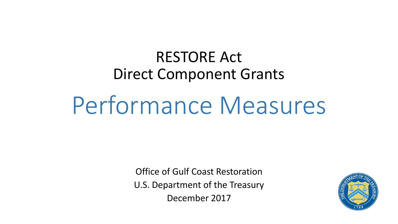## Direct Component Grants RESTORE Act

# Performance Measures

Office of Gulf Coast Restoration U.S. Department of the Treasury December 2017

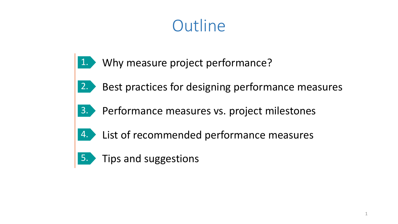## **Outline**

- Why measure project performance? 1.
- Best practices for designing performance measures 2.
- Performance measures vs. project milestones 3.
- List of recommended performance measures 4.
- 5. Tips and suggestions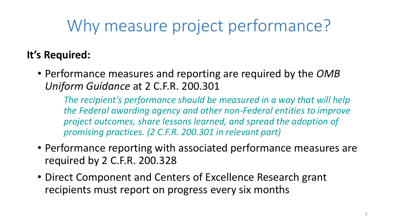# Why measure project performance?

### **It's Required:**

• Performance measures and reporting are required by the *OMB Uniform Guidance* at 2 C.F.R. 200.301

*The recipient's performance should be measured in a way that will help the Federal awarding agency and other non-Federal entities to improve project outcomes, share lessons learned, and spread the adoption of promising practices. (2 C.F.R. 200.301 in relevant part)*

- Performance reporting with associated performance measures are required by 2 C.F.R. 200.328
- Direct Component and Centers of Excellence Research grant recipients must report on progress every six months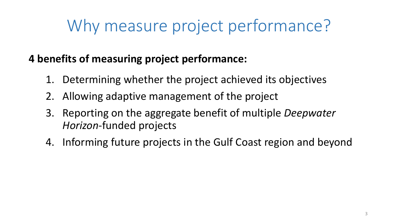# Why measure project performance?

#### **4 benefits of measuring project performance:**

- 1. Determining whether the project achieved its objectives
- 2. Allowing adaptive management of the project
- 3. Reporting on the aggregate benefit of multiple *Deepwater Horizon*-funded projects
- 4. Informing future projects in the Gulf Coast region and beyond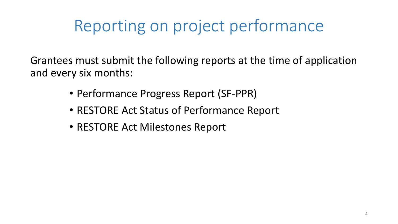## Reporting on project performance

Grantees must submit the following reports at the time of application and every six months:

- Performance Progress Report (SF-PPR)
- RESTORE Act Status of Performance Report
- RESTORE Act Milestones Report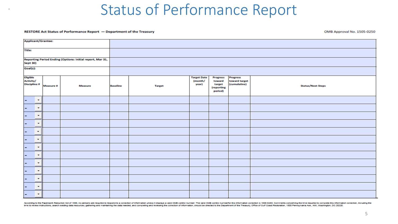#### RESTORE Act Status of Performance Report - Department of the Treasury

OMB Approval No. 1505-0250

| Applicant/Grantee:                                                           |                          |           |                |                 |               |                                        |                                                              |                                                  |                          |  |  |  |
|------------------------------------------------------------------------------|--------------------------|-----------|----------------|-----------------|---------------|----------------------------------------|--------------------------------------------------------------|--------------------------------------------------|--------------------------|--|--|--|
| <b>Title:</b>                                                                |                          |           |                |                 |               |                                        |                                                              |                                                  |                          |  |  |  |
| Reporting Period Ending (Options: initial report, Mar 31,<br><b>Sept 30)</b> |                          |           |                |                 |               |                                        |                                                              |                                                  |                          |  |  |  |
| Goal(s):                                                                     |                          |           |                |                 |               |                                        |                                                              |                                                  |                          |  |  |  |
| <b>Eligible</b><br><b>Activity/</b><br>Discipline #                          |                          | Measure # | <b>Measure</b> | <b>Baseline</b> | <b>Target</b> | <b>Target Date</b><br>(month/<br>year) | <b>Progress</b><br>toward<br>target<br>(reporting<br>period) | <b>Progress</b><br>toward target<br>(cumulative) | <b>Status/Next Steps</b> |  |  |  |
|                                                                              | $\overline{\phantom{a}}$ |           |                |                 |               |                                        |                                                              |                                                  |                          |  |  |  |
|                                                                              | $\overline{\phantom{a}}$ |           |                |                 |               |                                        |                                                              |                                                  |                          |  |  |  |
|                                                                              | $\star$                  |           |                |                 |               |                                        |                                                              |                                                  |                          |  |  |  |
|                                                                              | $\overline{\phantom{a}}$ |           |                |                 |               |                                        |                                                              |                                                  |                          |  |  |  |
|                                                                              | $\overline{\phantom{a}}$ |           |                |                 |               |                                        |                                                              |                                                  |                          |  |  |  |
|                                                                              | $\cdot$                  |           |                |                 |               |                                        |                                                              |                                                  |                          |  |  |  |
|                                                                              | $\overline{\phantom{a}}$ |           |                |                 |               |                                        |                                                              |                                                  |                          |  |  |  |
|                                                                              | $\overline{\phantom{a}}$ |           |                |                 |               |                                        |                                                              |                                                  |                          |  |  |  |
|                                                                              | $\overline{\phantom{a}}$ |           |                |                 |               |                                        |                                                              |                                                  |                          |  |  |  |
|                                                                              | $\overline{\phantom{a}}$ |           |                |                 |               |                                        |                                                              |                                                  |                          |  |  |  |
|                                                                              | $\overline{\phantom{a}}$ |           |                |                 |               |                                        |                                                              |                                                  |                          |  |  |  |
|                                                                              | $\overline{\phantom{a}}$ |           |                |                 |               |                                        |                                                              |                                                  |                          |  |  |  |
|                                                                              | $\star$                  |           |                |                 |               |                                        |                                                              |                                                  |                          |  |  |  |

According to the Paperwork Reduction Act of 1995, no persons are required to respond to a collection of information unless it displays a valid OMB control number. The valid OMB control numberfor this information collection time to review instructions, search existing data resources, gathering and maintaining the data needed, and completing and reviewing the collection of information, should be directed to the Department of the Treasury, Offi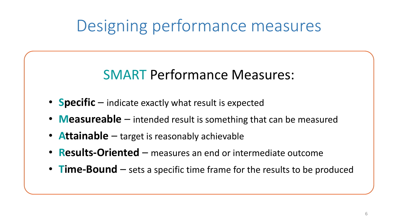## Designing performance measures

### SMART Performance Measures:

- **Specific** indicate exactly what result is expected
- **Measureable** intended result is something that can be measured
- **Attainable** target is reasonably achievable
- **Results-Oriented** measures an end or intermediate outcome
- **Time-Bound** sets a specific time frame for the results to be produced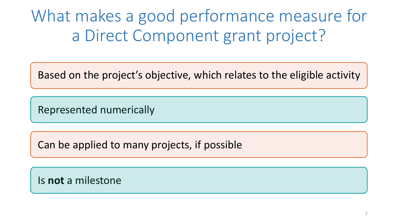What makes a good performance measure for a Direct Component grant project?

Based on the project's objective, which relates to the eligible activity

Represented numerically

Can be applied to many projects, if possible

Is **not** a milestone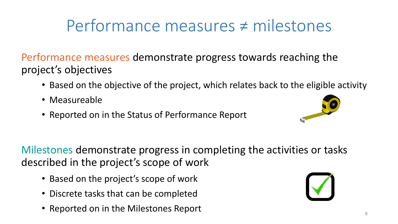# Performance measures ≠ milestones

Performance measures demonstrate progress towards reaching the project's objectives

- Based on the objective of the project, which relates back to the eligible activity
- Measureable
- Reported on in the Status of Performance Report



Milestones demonstrate progress in completing the activities or tasks described in the project's scope of work

- Based on the project's scope of work
- Discrete tasks that can be completed
- Reported on in the Milestones Report

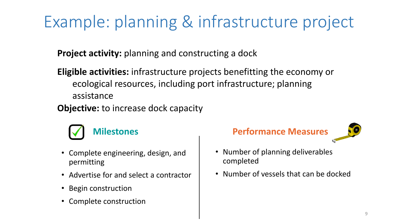# Example: planning & infrastructure project

**Project activity:** planning and constructing a dock

- **Eligible activities:** infrastructure projects benefitting the economy or ecological resources, including port infrastructure; planning assistance
- **Objective:** to increase dock capacity



- Complete engineering, design, and permitting
- Advertise for and select a contractor
- Begin construction
- Complete construction



- Number of planning deliverables completed
- Number of vessels that can be docked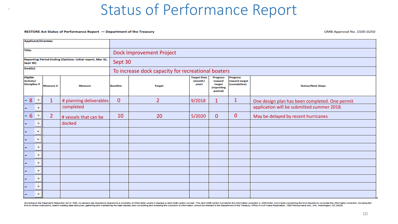#### RESTORE Act Status of Performance Report - Department of the Treasury

OMB Approval No. 1505-0250

| <b>Applicant/Grantee:</b>                                                    |                                             |                |                         |                                                    |                |                                        |                                                              |                                                  |                                                |  |
|------------------------------------------------------------------------------|---------------------------------------------|----------------|-------------------------|----------------------------------------------------|----------------|----------------------------------------|--------------------------------------------------------------|--------------------------------------------------|------------------------------------------------|--|
| <b>Title:</b>                                                                |                                             |                |                         | <b>Dock Improvement Project</b>                    |                |                                        |                                                              |                                                  |                                                |  |
| Reporting Period Ending (Options: initial report, Mar 31,<br><b>Sept 30)</b> |                                             |                |                         | Sept 30                                            |                |                                        |                                                              |                                                  |                                                |  |
| Goal(s):                                                                     |                                             |                |                         | To increase dock capacity for recreational boaters |                |                                        |                                                              |                                                  |                                                |  |
| <b>Eligible</b><br><b>Activity/</b><br><b>Discipline #</b>                   |                                             | Measure #      | <b>Measure</b>          | <b>Baseline</b><br><b>Target</b>                   |                | <b>Target Date</b><br>(month/<br>year) | <b>Progress</b><br>toward<br>target<br>(reporting<br>period) | <b>Progress</b><br>toward target<br>(cumulative) | <b>Status/Next Steps</b>                       |  |
|                                                                              | 8 <sup>°</sup><br>$\overline{\phantom{a}}$  | $\mathbf{1}$   | # planning deliverables | $\overline{0}$                                     | $\overline{2}$ | 9/2018                                 |                                                              | 1                                                | One design plan has been completed. One permit |  |
|                                                                              | $\overline{\phantom{a}}$                    |                | completed               |                                                    |                |                                        |                                                              |                                                  | application will be submitted summer 2018.     |  |
|                                                                              | $6\overline{6}$<br>$\overline{\phantom{a}}$ | $\overline{2}$ | # vessels that can be   | 10                                                 | 20             | 5/2020                                 | $\overline{0}$                                               | $\mathbf{0}$                                     | May be delayed by recent hurricanes            |  |
|                                                                              | $\overline{\phantom{a}}$                    |                | docked                  |                                                    |                |                                        |                                                              |                                                  |                                                |  |
|                                                                              | $\overline{\phantom{a}}$                    |                |                         |                                                    |                |                                        |                                                              |                                                  |                                                |  |
|                                                                              | $\overline{\phantom{0}}$                    |                |                         |                                                    |                |                                        |                                                              |                                                  |                                                |  |
|                                                                              | $\overline{\phantom{a}}$                    |                |                         |                                                    |                |                                        |                                                              |                                                  |                                                |  |
|                                                                              | $\cdot$                                     |                |                         |                                                    |                |                                        |                                                              |                                                  |                                                |  |
|                                                                              | $\overline{\phantom{a}}$                    |                |                         |                                                    |                |                                        |                                                              |                                                  |                                                |  |
|                                                                              | $\overline{\phantom{a}}$                    |                |                         |                                                    |                |                                        |                                                              |                                                  |                                                |  |
|                                                                              | $\overline{\phantom{a}}$                    |                |                         |                                                    |                |                                        |                                                              |                                                  |                                                |  |
|                                                                              | $\overline{\phantom{a}}$                    |                |                         |                                                    |                |                                        |                                                              |                                                  |                                                |  |
|                                                                              | $\overline{\phantom{a}}$                    |                |                         |                                                    |                |                                        |                                                              |                                                  |                                                |  |

According to the Paperwork Reduction Act of 1995, no persons are required to respond to a collection of information unless it displays a valid OMB control number. The valid OMB control numberfor this information collection time to review instructions, search existing data resources, gathering and maintaining the data needed, and completing and reviewing the collection of information, should be directed to the Department of the Treasury, Offi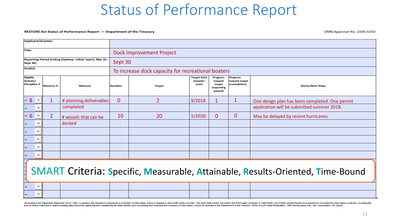#### RESTORE Act Status of Performance Report - Department of the Treasury

OMB Approval No. 1505-0250

| <b>Applicant/Grantee:</b>                                                                |                                                      |                  |                         |                                  |                                                    |                                        |                                                              |                                           |                                                |  |
|------------------------------------------------------------------------------------------|------------------------------------------------------|------------------|-------------------------|----------------------------------|----------------------------------------------------|----------------------------------------|--------------------------------------------------------------|-------------------------------------------|------------------------------------------------|--|
| <b>Title:</b>                                                                            |                                                      |                  |                         | Dock Improvement Project         |                                                    |                                        |                                                              |                                           |                                                |  |
| Reporting Period Ending (Options: initial report, Mar 31,<br><b>Sept 30)</b>             |                                                      |                  |                         | Sept 30                          |                                                    |                                        |                                                              |                                           |                                                |  |
| Goal(s):                                                                                 |                                                      |                  |                         |                                  | To increase dock capacity for recreational boaters |                                        |                                                              |                                           |                                                |  |
| <b>Eligible</b><br>Activity/<br><b>Discipline #</b>                                      |                                                      | <b>Measure #</b> | <b>Measure</b>          | <b>Baseline</b><br><b>Target</b> |                                                    | <b>Target Date</b><br>(month/<br>year) | <b>Progress</b><br>toward<br>target<br>(reporting<br>period) | Progress<br>toward target<br>(cumulative) | <b>Status/Next Steps</b>                       |  |
| 8                                                                                        | $\overline{\phantom{a}}$                             |                  | # planning deliverables | $\overline{0}$                   | $\overline{2}$                                     | 9/2018                                 |                                                              |                                           | One design plan has been completed. One permit |  |
|                                                                                          | $\overline{\phantom{a}}$                             |                  | completed               |                                  |                                                    |                                        |                                                              |                                           | application will be submitted summer 2018.     |  |
| $6^{\circ}$                                                                              | $\overline{\phantom{a}}$                             | $\overline{2}$   | # vessels that can be   | 10                               | 20                                                 | 5/2020                                 | 0                                                            | 0                                         | May be delayed by recent hurricanes            |  |
|                                                                                          | $\overline{\phantom{a}}$                             |                  | docked                  |                                  |                                                    |                                        |                                                              |                                           |                                                |  |
|                                                                                          | $\overline{\phantom{a}}$                             |                  |                         |                                  |                                                    |                                        |                                                              |                                           |                                                |  |
|                                                                                          | $\overline{\phantom{a}}$                             |                  |                         |                                  |                                                    |                                        |                                                              |                                           |                                                |  |
|                                                                                          | $\overline{\phantom{a}}$                             |                  |                         |                                  |                                                    |                                        |                                                              |                                           |                                                |  |
| $\overline{\phantom{a}}$                                                                 |                                                      |                  |                         |                                  |                                                    |                                        |                                                              |                                           |                                                |  |
| i<br>H<br>SMART Criteria: Specific, Measurable, Attainable, Results-Oriented, Time-Bound |                                                      |                  |                         |                                  |                                                    |                                        |                                                              |                                           |                                                |  |
|                                                                                          | $\overline{\phantom{0}}$<br>$\overline{\phantom{a}}$ |                  |                         |                                  |                                                    |                                        |                                                              |                                           |                                                |  |

According to the Paperwork Reduction Act of 1995, no persons are required to respond to a collection of information unless it displays a valid OMB control number. The valid OMB control numberfor this information collection time to review instructions, search existing data resources, gathering and maintaining the data needed, and completing and reviewing the collection of information, should be directed to the Department of the Treasury, Offi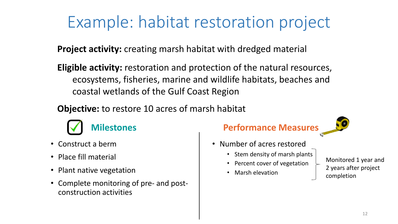# Example: habitat restoration project

**Project activity:** creating marsh habitat with dredged material

**Eligible activity:** restoration and protection of the natural resources, ecosystems, fisheries, marine and wildlife habitats, beaches and coastal wetlands of the Gulf Coast Region

**Objective:** to restore 10 acres of marsh habitat



- Construct a berm
- Place fill material
- Plant native vegetation
- Complete monitoring of pre- and postconstruction activities

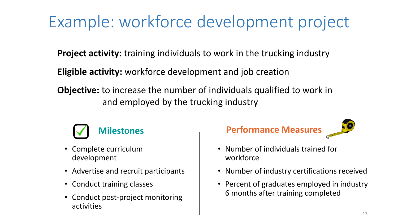# Example: workforce development project

**Project activity:** training individuals to work in the trucking industry

**Eligible activity:** workforce development and job creation

**Objective:** to increase the number of individuals qualified to work in and employed by the trucking industry



- Complete curriculum development
- Advertise and recruit participants
- Conduct training classes
- Conduct post-project monitoring activities





- Number of individuals trained for workforce
- Number of industry certifications received
- Percent of graduates employed in industry 6 months after training completed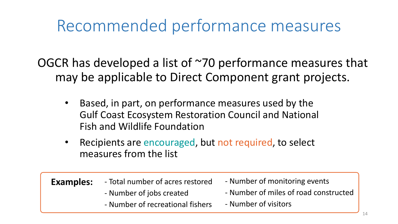## Recommended performance measures

OGCR has developed a list of ~70 performance measures that may be applicable to Direct Component grant projects.

- Based, in part, on performance measures used by the Gulf Coast Ecosystem Restoration Council and National Fish and Wildlife Foundation
- Recipients are encouraged, but not required, to select measures from the list

| <b>Examples:</b> | - Total number of acres restored | - Number of monitoring events         |  |  |  |
|------------------|----------------------------------|---------------------------------------|--|--|--|
|                  | - Number of jobs created         | - Number of miles of road constructed |  |  |  |
|                  | - Number of recreational fishers | - Number of visitors                  |  |  |  |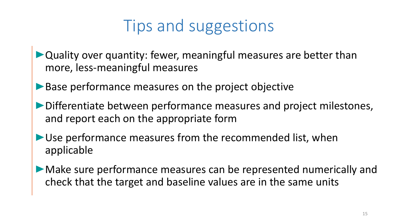## Tips and suggestions

- Quality over quantity: fewer, meaningful measures are better than more, less-meaningful measures
- Base performance measures on the project objective
- Differentiate between performance measures and project milestones, and report each on the appropriate form
- Use performance measures from the recommended list, when applicable
- Make sure performance measures can be represented numerically and check that the target and baseline values are in the same units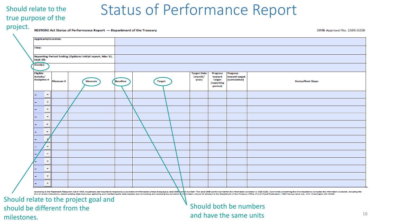#### Should relate to the true purpose of the

|  |  | project. |
|--|--|----------|
|  |  |          |
|  |  |          |

|                                                     |                                                           | RESTORE Act Status of Performance Report - Department of the Treasury |                 |               |                                        |                                                              |                                                  | OMB Approval No. 1505-0250 |
|-----------------------------------------------------|-----------------------------------------------------------|-----------------------------------------------------------------------|-----------------|---------------|----------------------------------------|--------------------------------------------------------------|--------------------------------------------------|----------------------------|
| <b>Applicant/Grantee:</b>                           |                                                           |                                                                       |                 |               |                                        |                                                              |                                                  |                            |
| <b>Title:</b>                                       |                                                           |                                                                       |                 |               |                                        |                                                              |                                                  |                            |
| <b>Sept 30)</b>                                     | Reporting Period Ending (Options: initial report, Mar 31, |                                                                       |                 |               |                                        |                                                              |                                                  |                            |
| Goal(s):                                            |                                                           |                                                                       |                 |               |                                        |                                                              |                                                  |                            |
| <b>Eligible</b><br>Activity/<br><b>Discipline #</b> | Measure #                                                 | <b>Measure</b>                                                        | <b>Baseline</b> | <b>Target</b> | <b>Target Date</b><br>(month/<br>year) | <b>Progress</b><br>toward<br>target<br>(reporting<br>period) | <b>Progress</b><br>toward target<br>(cumulative) | <b>Status/Next Steps</b>   |
| $\overline{\phantom{a}}$<br>-                       |                                                           |                                                                       |                 |               |                                        |                                                              |                                                  |                            |
| $\overline{\phantom{a}}$<br>-                       |                                                           |                                                                       |                 |               |                                        |                                                              |                                                  |                            |
| $\overline{\phantom{a}}$                            |                                                           |                                                                       |                 |               |                                        |                                                              |                                                  |                            |
| $\star$                                             |                                                           |                                                                       |                 |               |                                        |                                                              |                                                  |                            |
| $\star$                                             |                                                           |                                                                       |                 |               |                                        |                                                              |                                                  |                            |
| $\star$                                             |                                                           |                                                                       |                 |               |                                        |                                                              |                                                  |                            |
|                                                     |                                                           |                                                                       |                 |               |                                        |                                                              |                                                  |                            |
| $\overline{\phantom{a}}$                            |                                                           |                                                                       |                 |               |                                        |                                                              |                                                  |                            |
| $\overline{\phantom{a}}$                            |                                                           |                                                                       |                 |               |                                        |                                                              |                                                  |                            |
| $\overline{\phantom{a}}$                            |                                                           |                                                                       |                 |               |                                        |                                                              |                                                  |                            |
| $\star$<br>-                                        |                                                           |                                                                       |                 |               |                                        |                                                              |                                                  |                            |
| $\star$                                             |                                                           |                                                                       |                 |               |                                        |                                                              |                                                  |                            |
| $\overline{\phantom{a}}$                            |                                                           |                                                                       |                 |               |                                        |                                                              |                                                  |                            |

According to the Paperwork Reduction Act of 1995, no persons are required to respond to a collection of information unless it displays a valid OMB contage and OMB control number. The valid OMB control number or this inform this information collection, including th time to review instructions, search existing data resources, gathering and maintaining the data leting and reviewing the collection rmation, should be directed to the Department of the Treasury, Office of Gulf Coast Restoration. gton, DC 20220

Should relate to the project goal and should be different from the milestones.

#### Should both be numbers and have the same units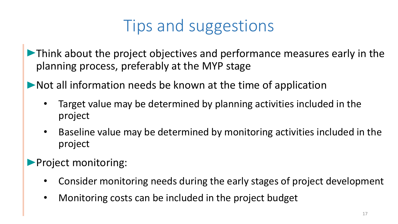# Tips and suggestions

• Think about the project objectives and performance measures early in the planning process, preferably at the MYP stage

• Not all information needs be known at the time of application

- Target value may be determined by planning activities included in the project
- Baseline value may be determined by monitoring activities included in the project

**• Project monitoring:** 

- Consider monitoring needs during the early stages of project development
- Monitoring costs can be included in the project budget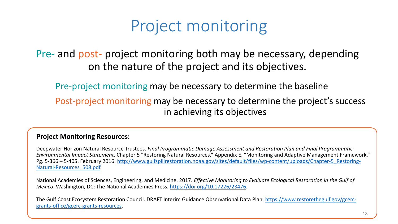## Project monitoring

#### Pre- and post- project monitoring both may be necessary, depending on the nature of the project and its objectives.

Pre-project monitoring may be necessary to determine the baseline

Post-project monitoring may be necessary to determine the project's success in achieving its objectives

#### **Project Monitoring Resources:**

Deepwater Horizon Natural Resource Trustees. *Final Programmatic Damage Assessment and Restoration Plan and Final Programmatic Environmental Impact Statement*. Chapter 5 "Restoring Natural Resources," Appendix E, "Monitoring and Adaptive Management Framework," Pg. 5-366 - 5-405. February 2016. http://www.gulfspillrestoration.noaa.gov/sites/default/files/wp-content/uploads/Chapter-5 Restoring-Natural-Resources\_508.pdf.

National Academies of Sciences, Engineering, and Medicine. 2017. *Effective Monitoring to Evaluate Ecological Restoration in the Gulf of Mexico*. Washington, DC: The National Academies Press. [https://doi.org/10.17226/23476.](https://doi.org/10.17226/23476)

[The Gulf Coast Ecosystem Restoration Council. DRAFT Interim Guidance Observational Data Plan. https://www.restorethegulf.gov/gcerc](https://www.restorethegulf.gov/gcerc-grants-office/gcerc-grants-resources)grants-office/gcerc-grants-resources.